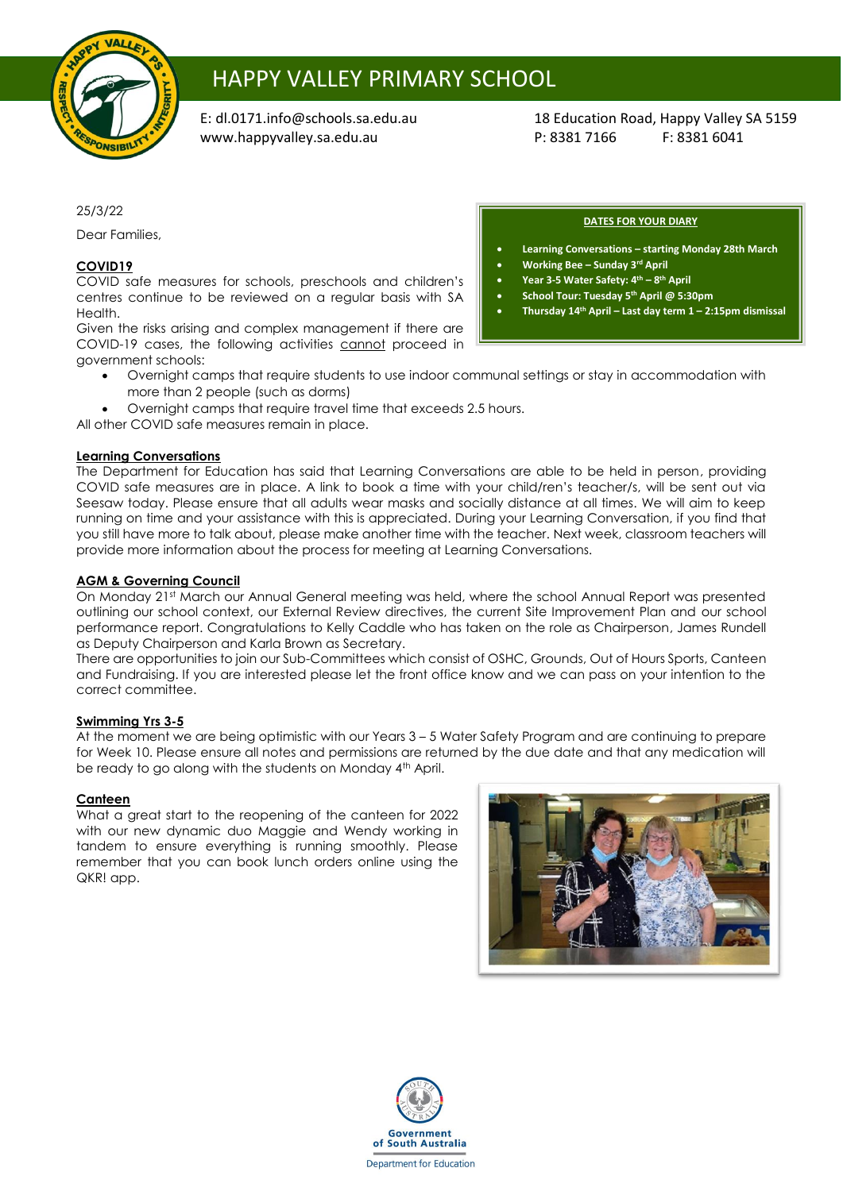

# HAPPY VALLEY PRIMARY SCHOOL

[www.happyvalley.sa.edu.au](http://www.happyvalley.sa.edu.au/) P: 8381 7166 F: 8381 6041

E: [dl.0171.info@schools.sa.edu.au](mailto:dl.0171.info@schools.sa.edu.au) 18 Education Road, Happy Valley SA 5159

25/3/22

Dear Families,

## **COVID19**

COVID safe measures for schools, preschools and children's centres continue to be reviewed on a regular basis with SA Health.

Given the risks arising and complex management if there are COVID-19 cases, the following activities cannot proceed in government schools:

- Overnight camps that require students to use indoor communal settings or stay in accommodation with more than 2 people (such as dorms)
- Overnight camps that require travel time that exceeds 2.5 hours.

All other COVID safe measures remain in place.

## **Learning Conversations**

The Department for Education has said that Learning Conversations are able to be held in person, providing COVID safe measures are in place. A link to book a time with your child/ren's teacher/s, will be sent out via Seesaw today. Please ensure that all adults wear masks and socially distance at all times. We will aim to keep running on time and your assistance with this is appreciated. During your Learning Conversation, if you find that you still have more to talk about, please make another time with the teacher. Next week, classroom teachers will provide more information about the process for meeting at Learning Conversations.

## **AGM & Governing Council**

On Monday 21st March our Annual General meeting was held, where the school Annual Report was presented outlining our school context, our External Review directives, the current Site Improvement Plan and our school performance report. Congratulations to Kelly Caddle who has taken on the role as Chairperson, James Rundell as Deputy Chairperson and Karla Brown as Secretary.

There are opportunities to join our Sub-Committees which consist of OSHC, Grounds, Out of Hours Sports, Canteen and Fundraising. If you are interested please let the front office know and we can pass on your intention to the correct committee.

### **Swimming Yrs 3-5**

At the moment we are being optimistic with our Years 3 – 5 Water Safety Program and are continuing to prepare for Week 10. Please ensure all notes and permissions are returned by the due date and that any medication will be ready to go along with the students on Monday 4<sup>th</sup> April.

## **Canteen**

What a great start to the reopening of the canteen for 2022 with our new dynamic duo Maggie and Wendy working in tandem to ensure everything is running smoothly. Please remember that you can book lunch orders online using the QKR! app.





#### **DATES FOR YOUR DIARY**

- **Learning Conversations – starting Monday 28th March**
	- **Working Bee – Sunday 3rd April**
- **Year 3-5 Water Safety: 4th – 8 th April**
- **School Tour: Tuesday 5th April @ 5:30pm**
- **Thursday 14th April – Last day term 1 – 2:15pm dismissal**